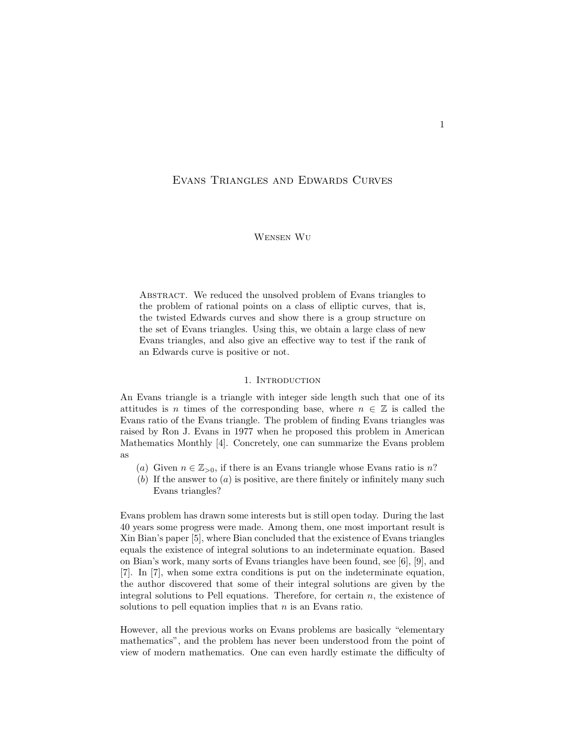# Evans Triangles and Edwards Curves

## Wensen Wu

ABSTRACT. We reduced the unsolved problem of Evans triangles to the problem of rational points on a class of elliptic curves, that is, the twisted Edwards curves and show there is a group structure on the set of Evans triangles. Using this, we obtain a large class of new Evans triangles, and also give an effective way to test if the rank of an Edwards curve is positive or not.

## 1. INTRODUCTION

An Evans triangle is a triangle with integer side length such that one of its attitudes is n times of the corresponding base, where  $n \in \mathbb{Z}$  is called the Evans ratio of the Evans triangle. The problem of finding Evans triangles was raised by Ron J. Evans in 1977 when he proposed this problem in American Mathematics Monthly [4]. Concretely, one can summarize the Evans problem as

- (a) Given  $n \in \mathbb{Z}_{>0}$ , if there is an Evans triangle whose Evans ratio is n?
- (b) If the answer to  $(a)$  is positive, are there finitely or infinitely many such Evans triangles?

Evans problem has drawn some interests but is still open today. During the last 40 years some progress were made. Among them, one most important result is Xin Bian's paper [5], where Bian concluded that the existence of Evans triangles equals the existence of integral solutions to an indeterminate equation. Based on Bian's work, many sorts of Evans triangles have been found, see [6], [9], and [7]. In [7], when some extra conditions is put on the indeterminate equation, the author discovered that some of their integral solutions are given by the integral solutions to Pell equations. Therefore, for certain  $n$ , the existence of solutions to pell equation implies that  $n$  is an Evans ratio.

However, all the previous works on Evans problems are basically "elementary mathematics", and the problem has never been understood from the point of view of modern mathematics. One can even hardly estimate the difficulty of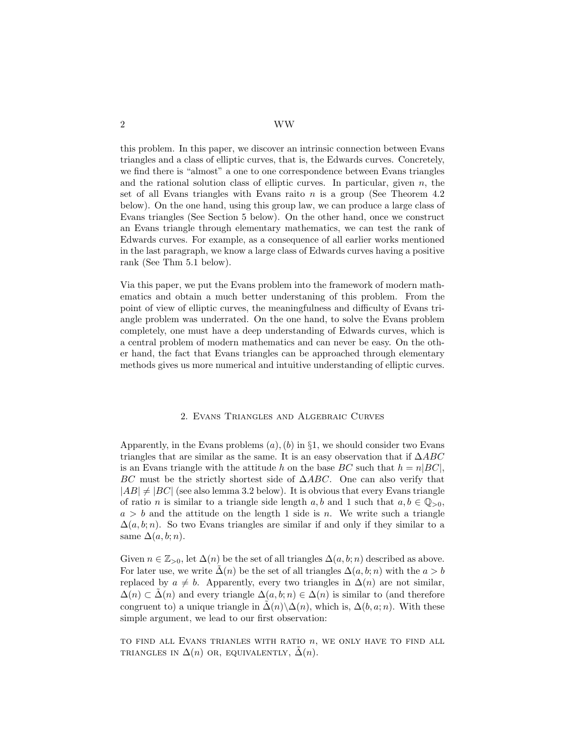this problem. In this paper, we discover an intrinsic connection between Evans triangles and a class of elliptic curves, that is, the Edwards curves. Concretely, we find there is "almost" a one to one correspondence between Evans triangles and the rational solution class of elliptic curves. In particular, given  $n$ , the set of all Evans triangles with Evans raito  $n$  is a group (See Theorem 4.2) below). On the one hand, using this group law, we can produce a large class of Evans triangles (See Section 5 below). On the other hand, once we construct an Evans triangle through elementary mathematics, we can test the rank of Edwards curves. For example, as a consequence of all earlier works mentioned in the last paragraph, we know a large class of Edwards curves having a positive rank (See Thm 5.1 below).

Via this paper, we put the Evans problem into the framework of modern mathematics and obtain a much better understaning of this problem. From the point of view of elliptic curves, the meaningfulness and difficulty of Evans triangle problem was underrated. On the one hand, to solve the Evans problem completely, one must have a deep understanding of Edwards curves, which is a central problem of modern mathematics and can never be easy. On the other hand, the fact that Evans triangles can be approached through elementary methods gives us more numerical and intuitive understanding of elliptic curves.

### 2. Evans Triangles and Algebraic Curves

Apparently, in the Evans problems  $(a)$ ,  $(b)$  in §1, we should consider two Evans triangles that are similar as the same. It is an easy observation that if  $\triangle ABC$ is an Evans triangle with the attitude h on the base BC such that  $h = n|BC|$ , BC must be the strictly shortest side of  $\triangle ABC$ . One can also verify that  $|AB| \neq |BC|$  (see also lemma 3.2 below). It is obvious that every Evans triangle of ratio *n* is similar to a triangle side length  $a, b$  and 1 such that  $a, b \in \mathbb{Q}_{>0}$ ,  $a > b$  and the attitude on the length 1 side is n. We write such a triangle  $\Delta(a, b; n)$ . So two Evans triangles are similar if and only if they similar to a same  $\Delta(a, b; n)$ .

Given  $n \in \mathbb{Z}_{>0}$ , let  $\Delta(n)$  be the set of all triangles  $\Delta(a, b; n)$  described as above. For later use, we write  $\Delta(n)$  be the set of all triangles  $\Delta(a, b; n)$  with the  $a > b$ replaced by  $a \neq b$ . Apparently, every two triangles in  $\Delta(n)$  are not similar,  $\Delta(n) \subset \Delta(n)$  and every triangle  $\Delta(a, b; n) \in \Delta(n)$  is similar to (and therefore congruent to) a unique triangle in  $\Delta(n)\setminus\Delta(n)$ , which is,  $\Delta(b, a; n)$ . With these simple argument, we lead to our first observation:

TO FIND ALL EVANS TRIANLES WITH RATIO  $n$ , WE ONLY HAVE TO FIND ALL TRIANGLES IN  $\Delta(n)$  OR, EQUIVALENTLY,  $\Delta(n)$ .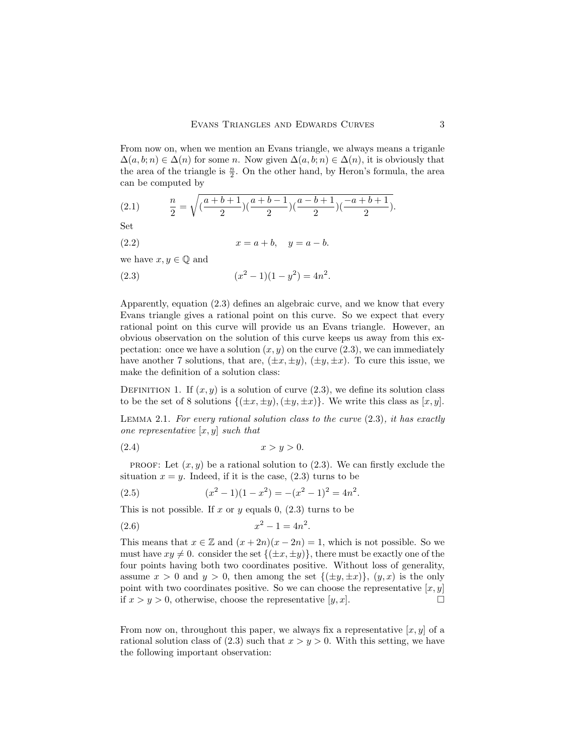From now on, when we mention an Evans triangle, we always means a triganle  $\Delta(a, b; n) \in \Delta(n)$  for some n. Now given  $\Delta(a, b; n) \in \Delta(n)$ , it is obviously that the area of the triangle is  $\frac{n}{2}$ . On the other hand, by Heron's formula, the area can be computed by

(2.1) 
$$
\frac{n}{2} = \sqrt{\left(\frac{a+b+1}{2}\right)\left(\frac{a+b-1}{2}\right)\left(\frac{a-b+1}{2}\right)\left(\frac{-a+b+1}{2}\right)}.
$$

Set

(2.2) 
$$
x = a + b, y = a - b.
$$

we have  $x, y \in \mathbb{Q}$  and

(2.3) 
$$
(x^2 - 1)(1 - y^2) = 4n^2.
$$

Apparently, equation (2.3) defines an algebraic curve, and we know that every Evans triangle gives a rational point on this curve. So we expect that every rational point on this curve will provide us an Evans triangle. However, an obvious observation on the solution of this curve keeps us away from this expectation: once we have a solution  $(x, y)$  on the curve  $(2.3)$ , we can immediately have another 7 solutions, that are,  $(\pm x, \pm y)$ ,  $(\pm y, \pm x)$ . To cure this issue, we make the definition of a solution class:

DEFINITION 1. If  $(x, y)$  is a solution of curve  $(2.3)$ , we define its solution class to be the set of 8 solutions  $\{(\pm x, \pm y), (\pm y, \pm x)\}\.$  We write this class as  $[x, y]$ .

LEMMA 2.1. For every rational solution class to the curve  $(2.3)$ , it has exactly one representative  $[x, y]$  such that

$$
(2.4) \t\t x > y > 0.
$$

**PROOF:** Let  $(x, y)$  be a rational solution to  $(2.3)$ . We can firstly exclude the situation  $x = y$ . Indeed, if it is the case, (2.3) turns to be

(2.5) 
$$
(x^2 - 1)(1 - x^2) = -(x^2 - 1)^2 = 4n^2.
$$

This is not possible. If x or y equals 0,  $(2.3)$  turns to be

$$
(2.6) \t\t x^2 - 1 = 4n^2.
$$

This means that  $x \in \mathbb{Z}$  and  $(x + 2n)(x - 2n) = 1$ , which is not possible. So we must have  $xy \neq 0$ . consider the set  $\{(\pm x, \pm y)\}\,$ , there must be exactly one of the four points having both two coordinates positive. Without loss of generality, assume  $x > 0$  and  $y > 0$ , then among the set  $\{(\pm y, \pm x)\}, (y, x)$  is the only point with two coordinates positive. So we can choose the representative  $[x, y]$ if  $x > y > 0$ , otherwise, choose the representative [y, x].

From now on, throughout this paper, we always fix a representative  $[x, y]$  of a rational solution class of  $(2.3)$  such that  $x > y > 0$ . With this setting, we have the following important observation: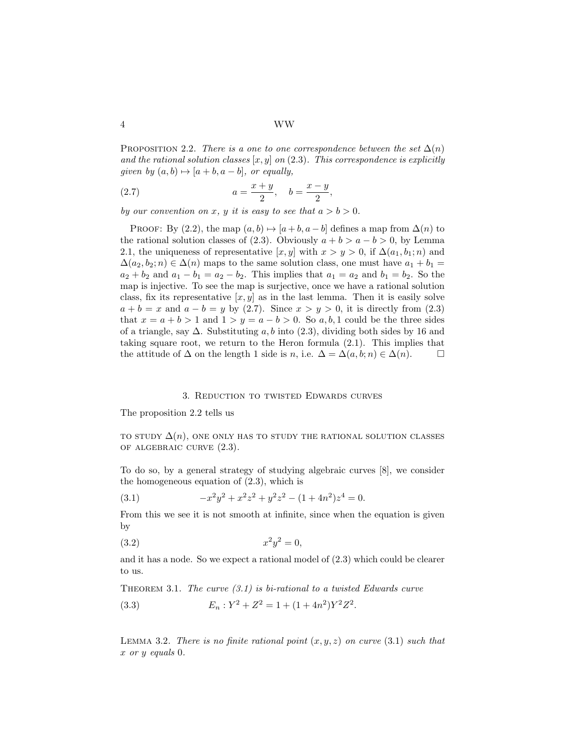4 WW

PROPOSITION 2.2. There is a one to one correspondence between the set  $\Delta(n)$ and the rational solution classes  $[x, y]$  on  $(2.3)$ . This correspondence is explicitly given by  $(a, b) \mapsto [a + b, a - b]$ , or equally,

(2.7) 
$$
a = \frac{x+y}{2}, \quad b = \frac{x-y}{2},
$$

by our convention on x, y it is easy to see that  $a > b > 0$ .

PROOF: By (2.2), the map  $(a, b) \mapsto [a + b, a - b]$  defines a map from  $\Delta(n)$  to the rational solution classes of (2.3). Obviously  $a + b > a - b > 0$ , by Lemma 2.1, the uniqueness of representative [x, y] with  $x > y > 0$ , if  $\Delta(a_1, b_1; n)$  and  $\Delta(a_2, b_2; n) \in \Delta(n)$  maps to the same solution class, one must have  $a_1 + b_1 =$  $a_2 + b_2$  and  $a_1 - b_1 = a_2 - b_2$ . This implies that  $a_1 = a_2$  and  $b_1 = b_2$ . So the map is injective. To see the map is surjective, once we have a rational solution class, fix its representative  $[x, y]$  as in the last lemma. Then it is easily solve  $a + b = x$  and  $a - b = y$  by (2.7). Since  $x > y > 0$ , it is directly from (2.3) that  $x = a + b > 1$  and  $1 > y = a - b > 0$ . So a, b, 1 could be the three sides of a triangle, say  $\Delta$ . Substituting a, b into (2.3), dividing both sides by 16 and taking square root, we return to the Heron formula (2.1). This implies that the attitude of  $\Delta$  on the length 1 side is n, i.e.  $\Delta = \Delta(a, b; n) \in \Delta(n)$ .

### 3. Reduction to twisted Edwards curves

The proposition 2.2 tells us

TO STUDY  $\Delta(n)$ , ONE ONLY HAS TO STUDY THE RATIONAL SOLUTION CLASSES of algebraic curve (2.3).

To do so, by a general strategy of studying algebraic curves [8], we consider the homogeneous equation of (2.3), which is

(3.1) 
$$
-x^2y^2 + x^2z^2 + y^2z^2 - (1+4n^2)z^4 = 0.
$$

From this we see it is not smooth at infinite, since when the equation is given by

$$
(3.2) \t\t x^2 y^2 = 0,
$$

and it has a node. So we expect a rational model of (2.3) which could be clearer to us.

THEOREM 3.1. The curve  $(3.1)$  is bi-rational to a twisted Edwards curve

(3.3) 
$$
E_n: Y^2 + Z^2 = 1 + (1 + 4n^2)Y^2Z^2.
$$

LEMMA 3.2. There is no finite rational point  $(x, y, z)$  on curve (3.1) such that x or y equals 0.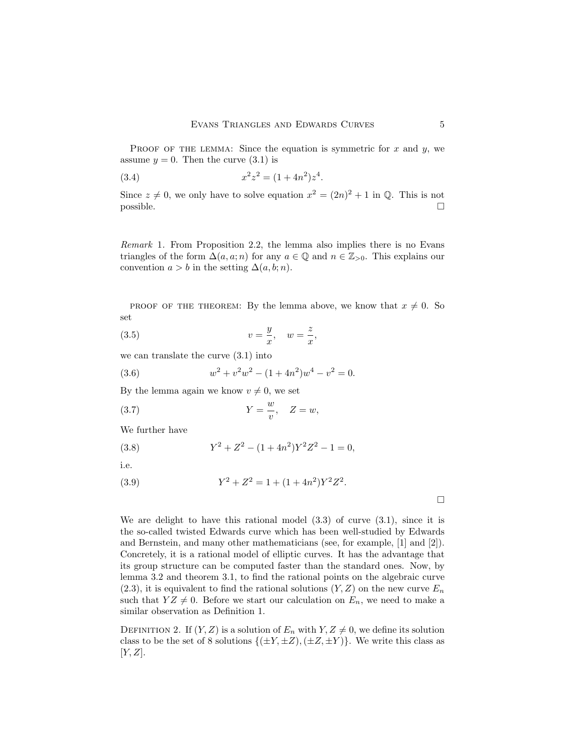PROOF OF THE LEMMA: Since the equation is symmetric for  $x$  and  $y$ , we assume  $y = 0$ . Then the curve  $(3.1)$  is

(3.4) 
$$
x^2 z^2 = (1 + 4n^2) z^4.
$$

Since  $z \neq 0$ , we only have to solve equation  $x^2 = (2n)^2 + 1$  in Q. This is not  $\Box$  possible.

Remark 1. From Proposition 2.2, the lemma also implies there is no Evans triangles of the form  $\Delta(a, a; n)$  for any  $a \in \mathbb{Q}$  and  $n \in \mathbb{Z}_{>0}$ . This explains our convention  $a > b$  in the setting  $\Delta(a, b; n)$ .

PROOF OF THE THEOREM: By the lemma above, we know that  $x \neq 0$ . So set

(3.5) 
$$
v = \frac{y}{x}, \quad w = \frac{z}{x},
$$

we can translate the curve  $(3.1)$  into

(3.6) 
$$
w^2 + v^2 w^2 - (1 + 4n^2) w^4 - v^2 = 0.
$$

By the lemma again we know  $v \neq 0$ , we set

$$
(3.7) \t\t Y = \frac{w}{v}, \quad Z = w,
$$

We further have

(3.8) 
$$
Y^2 + Z^2 - (1 + 4n^2)Y^2Z^2 - 1 = 0,
$$

i.e.

(3.9) 
$$
Y^2 + Z^2 = 1 + (1 + 4n^2)Y^2Z^2.
$$

 $\Box$ 

We are delight to have this rational model  $(3.3)$  of curve  $(3.1)$ , since it is the so-called twisted Edwards curve which has been well-studied by Edwards and Bernstein, and many other mathematicians (see, for example, [1] and [2]). Concretely, it is a rational model of elliptic curves. It has the advantage that its group structure can be computed faster than the standard ones. Now, by lemma 3.2 and theorem 3.1, to find the rational points on the algebraic curve  $(2.3)$ , it is equivalent to find the rational solutions  $(Y, Z)$  on the new curve  $E_n$ such that  $YZ \neq 0$ . Before we start our calculation on  $E_n$ , we need to make a similar observation as Definition 1.

DEFINITION 2. If  $(Y, Z)$  is a solution of  $E_n$  with  $Y, Z \neq 0$ , we define its solution class to be the set of 8 solutions  $\{(\pm Y, \pm Z), (\pm Z, \pm Y)\}\.$  We write this class as  $[Y, Z].$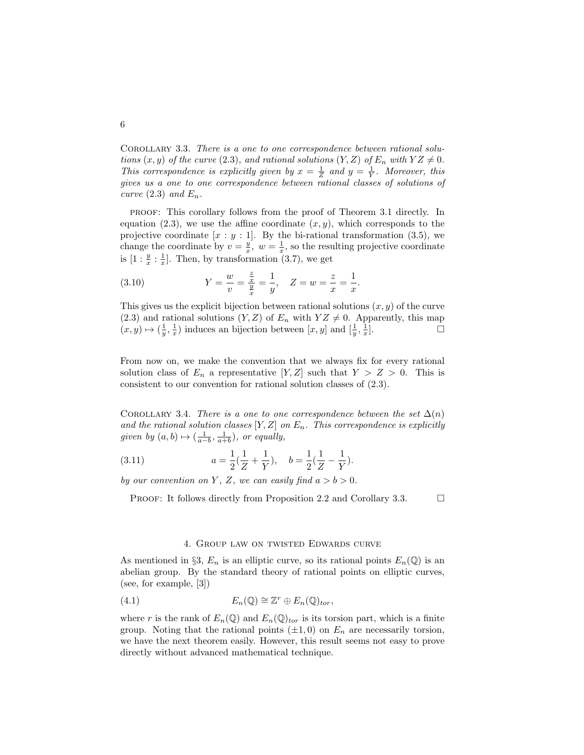Corollary 3.3. There is a one to one correspondence between rational solutions  $(x, y)$  of the curve (2.3), and rational solutions  $(Y, Z)$  of  $E_n$  with  $YZ \neq 0$ . This correspondence is explicitly given by  $x = \frac{1}{Z}$  and  $y = \frac{1}{Y}$ . Moreover, this gives us a one to one correspondence between rational classes of solutions of curve  $(2.3)$  and  $E_n$ .

proof: This corollary follows from the proof of Theorem 3.1 directly. In equation (2.3), we use the affine coordinate  $(x, y)$ , which corresponds to the projective coordinate  $[x : y : 1]$ . By the bi-rational transformation (3.5), we change the coordinate by  $v = \frac{y}{x}$ ,  $w = \frac{1}{x}$ , so the resulting projective coordinate is  $[1:\frac{y}{x}:\frac{1}{x}].$  Then, by transformation (3.7), we get

(3.10) 
$$
Y = \frac{w}{v} = \frac{\frac{z}{x}}{\frac{y}{x}} = \frac{1}{y}, \quad Z = w = \frac{z}{x} = \frac{1}{x}.
$$

This gives us the explicit bijection between rational solutions  $(x, y)$  of the curve (2.3) and rational solutions  $(Y, Z)$  of  $E_n$  with  $YZ \neq 0$ . Apparently, this map  $(x, y) \mapsto (\frac{1}{y}, \frac{1}{x})$  induces an bijection between  $[x, y]$  and  $[\frac{1}{y}, \frac{1}{x}]$  $\Box$ 

From now on, we make the convention that we always fix for every rational solution class of  $E_n$  a representative  $[Y, Z]$  such that  $Y > Z > 0$ . This is consistent to our convention for rational solution classes of (2.3).

COROLLARY 3.4. There is a one to one correspondence between the set  $\Delta(n)$ and the rational solution classes  $[Y, Z]$  on  $E_n$ . This correspondence is explicitly given by  $(a, b) \mapsto (\frac{1}{a-b}, \frac{1}{a+b})$ , or equally,

(3.11) 
$$
a = \frac{1}{2}(\frac{1}{Z} + \frac{1}{Y}), \quad b = \frac{1}{2}(\frac{1}{Z} - \frac{1}{Y}).
$$

by our convention on Y, Z, we can easily find  $a > b > 0$ .

PROOF: It follows directly from Proposition 2.2 and Corollary 3.3.  $\Box$ 

## 4. Group law on twisted Edwards curve

As mentioned in §3,  $E_n$  is an elliptic curve, so its rational points  $E_n(\mathbb{Q})$  is an abelian group. By the standard theory of rational points on elliptic curves, (see, for example, [3])

(4.1) 
$$
E_n(\mathbb{Q}) \cong \mathbb{Z}^r \oplus E_n(\mathbb{Q})_{tor},
$$

where r is the rank of  $E_n(\mathbb{Q})$  and  $E_n(\mathbb{Q})_{tor}$  is its torsion part, which is a finite group. Noting that the rational points  $(\pm 1, 0)$  on  $E_n$  are necessarily torsion, we have the next theorem easily. However, this result seems not easy to prove directly without advanced mathematical technique.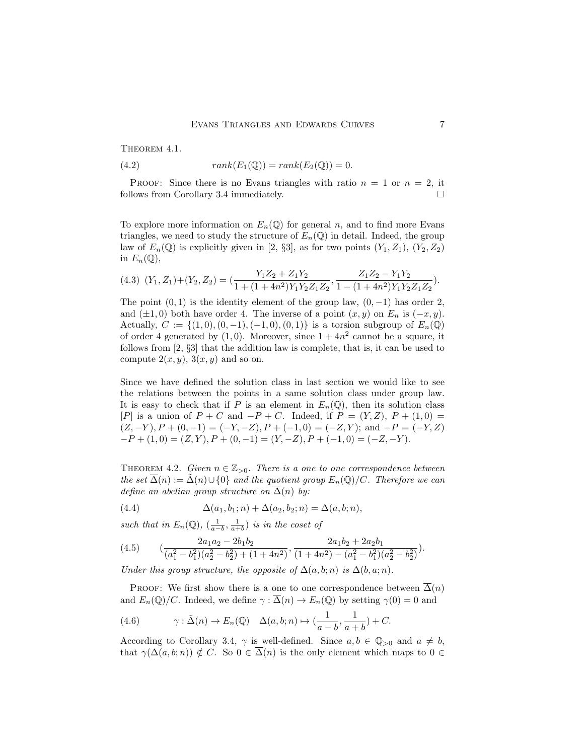THEOREM 4.1.

(4.2) 
$$
rank(E_1(\mathbb{Q})) = rank(E_2(\mathbb{Q})) = 0.
$$

PROOF: Since there is no Evans triangles with ratio  $n = 1$  or  $n = 2$ , it follows from Corollary 3.4 immediately.

To explore more information on  $E_n(\mathbb{Q})$  for general n, and to find more Evans triangles, we need to study the structure of  $E_n(\mathbb{Q})$  in detail. Indeed, the group law of  $E_n(\mathbb{Q})$  is explicitly given in [2, §3], as for two points  $(Y_1, Z_1)$ ,  $(Y_2, Z_2)$ in  $E_n(\mathbb{Q}),$ 

$$
(4.3) (Y_1, Z_1) + (Y_2, Z_2) = \left(\frac{Y_1 Z_2 + Z_1 Y_2}{1 + (1 + 4n^2)Y_1 Y_2 Z_1 Z_2}, \frac{Z_1 Z_2 - Y_1 Y_2}{1 - (1 + 4n^2)Y_1 Y_2 Z_1 Z_2}\right).
$$

The point  $(0, 1)$  is the identity element of the group law,  $(0, -1)$  has order 2, and  $(\pm 1, 0)$  both have order 4. The inverse of a point  $(x, y)$  on  $E_n$  is  $(-x, y)$ . Actually,  $C := \{(1,0), (0,-1), (-1,0), (0,1)\}$  is a torsion subgroup of  $E_n(\mathbb{Q})$ of order 4 generated by  $(1,0)$ . Moreover, since  $1 + 4n^2$  cannot be a square, it follows from [2, §3] that the addition law is complete, that is, it can be used to compute  $2(x, y)$ ,  $3(x, y)$  and so on.

Since we have defined the solution class in last section we would like to see the relations between the points in a same solution class under group law. It is easy to check that if P is an element in  $E_n(\mathbb{Q})$ , then its solution class [P] is a union of  $P + C$  and  $-P + C$ . Indeed, if  $P = (Y, Z), P + (1, 0) =$  $(Z, -Y), P + (0, -1) = (-Y, -Z), P + (-1, 0) = (-Z, Y);$  and  $-P = (-Y, Z)$  $-P + (1, 0) = (Z, Y), P + (0, -1) = (Y, -Z), P + (-1, 0) = (-Z, -Y).$ 

THEOREM 4.2. Given  $n \in \mathbb{Z}_{>0}$ . There is a one to one correspondence between the set  $\overline{\Delta}(n) := \overline{\Delta}(n) \cup \{0\}$  and the quotient group  $E_n(\mathbb{Q})/C$ . Therefore we can define an abelian group structure on  $\Delta(n)$  by:

(4.4) 
$$
\Delta(a_1, b_1; n) + \Delta(a_2, b_2; n) = \Delta(a, b; n),
$$

such that in  $E_n(\mathbb{Q})$ ,  $\left(\frac{1}{a-b}, \frac{1}{a+b}\right)$  is in the coset of

$$
(4.5) \qquad \left(\frac{2a_1a_2 - 2b_1b_2}{(a_1^2 - b_1^2)(a_2^2 - b_2^2) + (1 + 4n^2)}, \frac{2a_1b_2 + 2a_2b_1}{(1 + 4n^2) - (a_1^2 - b_1^2)(a_2^2 - b_2^2)}\right).
$$

Under this group structure, the opposite of  $\Delta(a, b; n)$  is  $\Delta(b, a; n)$ .

PROOF: We first show there is a one to one correspondence between  $\overline{\Delta}(n)$ and  $E_n(\mathbb{Q})/C$ . Indeed, we define  $\gamma : \overline{\Delta}(n) \to E_n(\mathbb{Q})$  by setting  $\gamma(0) = 0$  and

(4.6) 
$$
\gamma : \tilde{\Delta}(n) \to E_n(\mathbb{Q}) \quad \Delta(a, b; n) \mapsto (\frac{1}{a - b}, \frac{1}{a + b}) + C.
$$

According to Corollary 3.4,  $\gamma$  is well-defined. Since  $a, b \in \mathbb{Q}_{>0}$  and  $a \neq b$ , that  $\gamma(\Delta(a, b; n)) \notin C$ . So  $0 \in \overline{\Delta}(n)$  is the only element which maps to  $0 \in$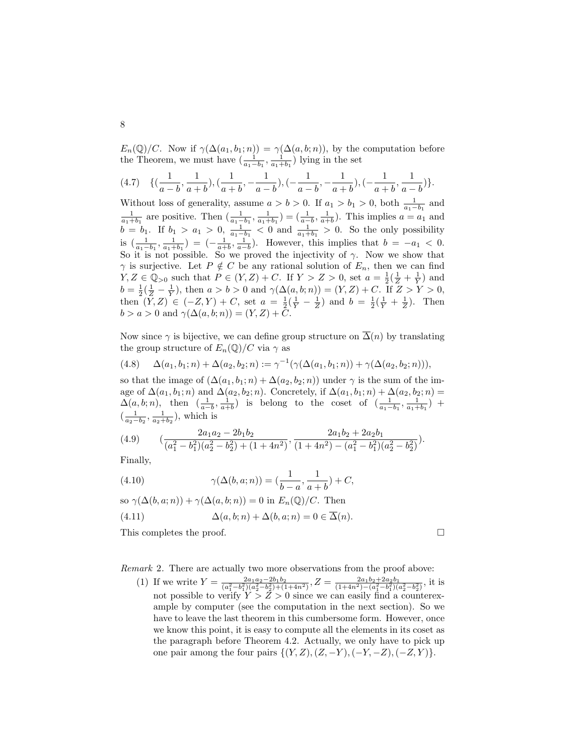$E_n(\mathbb{Q})/C$ . Now if  $\gamma(\Delta(a_1, b_1; n)) = \gamma(\Delta(a, b; n))$ , by the computation before the Theorem, we must have  $\left(\frac{1}{a_1-b_1}, \frac{1}{a_1+b_1}\right)$  lying in the set

$$
(4.7) \quad \{(\frac{1}{a-b},\frac{1}{a+b}),(\frac{1}{a+b},-\frac{1}{a-b}),(-\frac{1}{a-b},-\frac{1}{a+b}),(-\frac{1}{a+b},\frac{1}{a-b})\}.
$$

Without loss of generality, assume  $a > b > 0$ . If  $a_1 > b_1 > 0$ , both  $\frac{1}{a_1 - b_1}$  and  $\frac{1}{a_1+b_1}$  are positive. Then  $\left(\frac{1}{a_1-b_1}, \frac{1}{a_1+b_1}\right) = \left(\frac{1}{a-b}, \frac{1}{a+b}\right)$ . This implies  $a = a_1$  and  $b = b_1$ . If  $b_1 > a_1 > 0$ ,  $\frac{1}{a_1 - b_1} < 0$  and  $\frac{1}{a_1 + b_1} > 0$ . So the only possibility is  $\left(\frac{1}{a_1-b_1}, \frac{1}{a_1+b_1}\right) = \left(-\frac{1}{a+b}, \frac{1}{a-b}\right)$ . However, this implies that  $b = -a_1 < 0$ . So it is not possible. So we proved the injectivity of  $\gamma$ . Now we show that  $\gamma$  is surjective. Let  $P \notin C$  be any rational solution of  $E_n$ , then we can find  $Y, Z \in \mathbb{Q}_{>0}$  such that  $P \in (Y, Z) + C$ . If  $Y > Z > 0$ , set  $a = \frac{1}{2}(\frac{1}{Z} + \frac{1}{Y})$  and  $b = \frac{1}{2}(\frac{1}{Z} - \frac{1}{Y})$ , then  $a > b > 0$  and  $\gamma(\Delta(a, b; n)) = (Y, Z) + C$ . If  $Z > Y > 0$ , then  $(Y, Z) \in (-Z, Y) + C$ , set  $a = \frac{1}{2}(\frac{1}{Y} - \frac{1}{Z})$  and  $b = \frac{1}{2}(\frac{1}{Y} + \frac{1}{Z})$ . Then  $b > a > 0$  and  $\gamma(\Delta(a, b; n)) = (Y, Z) + C$ .

Now since  $\gamma$  is bijective, we can define group structure on  $\overline{\Delta}(n)$  by translating the group structure of  $E_n(\mathbb{Q})/C$  via  $\gamma$  as

$$
(4.8) \qquad \Delta(a_1, b_1; n) + \Delta(a_2, b_2; n) := \gamma^{-1}(\gamma(\Delta(a_1, b_1; n)) + \gamma(\Delta(a_2, b_2; n))),
$$

so that the image of  $(\Delta(a_1, b_1; n) + \Delta(a_2, b_2; n))$  under  $\gamma$  is the sum of the image of  $\Delta(a_1, b_1; n)$  and  $\Delta(a_2, b_2; n)$ . Concretely, if  $\Delta(a_1, b_1; n) + \Delta(a_2, b_2; n) =$  $\Delta(a, b; n)$ , then  $\left(\frac{1}{a-b}, \frac{1}{a+b}\right)$  is belong to the coset of  $\left(\frac{1}{a_1-b_1}, \frac{1}{a_1+b_1}\right)$  +  $(\frac{1}{a_2-b_2}, \frac{1}{a_2+b_2})$ , which is

$$
(4.9) \qquad \left(\frac{2a_1a_2 - 2b_1b_2}{(a_1^2 - b_1^2)(a_2^2 - b_2^2) + (1 + 4n^2)}, \frac{2a_1b_2 + 2a_2b_1}{(1 + 4n^2) - (a_1^2 - b_1^2)(a_2^2 - b_2^2)}\right).
$$

Finally,

(4.10) 
$$
\gamma(\Delta(b, a; n)) = (\frac{1}{b-a}, \frac{1}{a+b}) + C,
$$

so  $\gamma(\Delta(b, a; n)) + \gamma(\Delta(a, b; n)) = 0$  in  $E_n(\mathbb{Q})/C$ . Then

(4.11) 
$$
\Delta(a, b; n) + \Delta(b, a; n) = 0 \in \Delta(n).
$$

This completes the proof.

Remark 2. There are actually two more observations from the proof above:

(1) If we write  $Y = \frac{2a_1a_2-2b_1b_2}{(a_1^2-b_1^2)(a_2^2-b_2^2)+(1+4n^2)}$ ,  $Z = \frac{2a_1b_2+2a_2b_1}{(1+4n^2)-(a_1^2-b_1^2)(a_2^2-b_2^2)}$ , it is not possible to verify  $Y > Z > 0$  since we can easily find a counterexample by computer (see the computation in the next section). So we have to leave the last theorem in this cumbersome form. However, once we know this point, it is easy to compute all the elements in its coset as the paragraph before Theorem 4.2. Actually, we only have to pick up one pair among the four pairs  $\{(Y, Z), (Z, -Y), (-Y, -Z), (-Z, Y)\}.$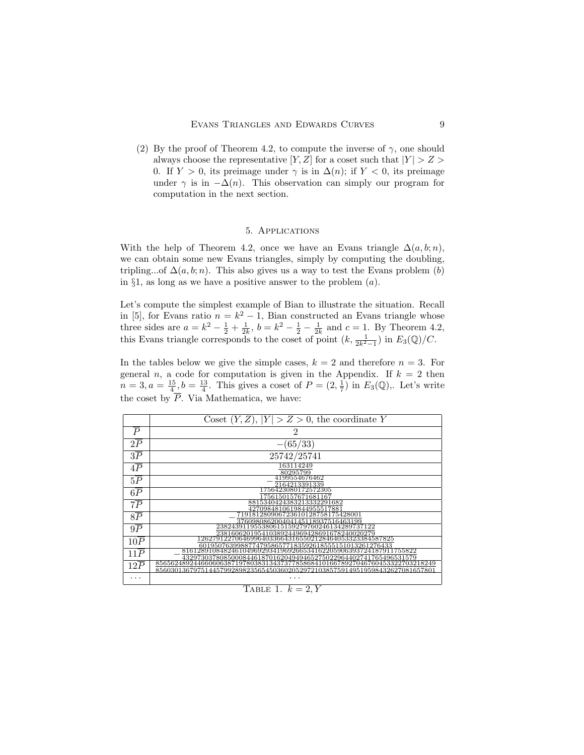(2) By the proof of Theorem 4.2, to compute the inverse of  $\gamma$ , one should always choose the representative  $[Y, Z]$  for a coset such that  $|Y| > Z >$ 0. If  $Y > 0$ , its preimage under  $\gamma$  is in  $\Delta(n)$ ; if  $Y < 0$ , its preimage under  $\gamma$  is in  $-\Delta(n)$ . This observation can simply our program for computation in the next section.

# 5. Applications

With the help of Theorem 4.2, once we have an Evans triangle  $\Delta(a, b; n)$ , we can obtain some new Evans triangles, simply by computing the doubling, tripling...of  $\Delta(a, b; n)$ . This also gives us a way to test the Evans problem (b) in  $\S1$ , as long as we have a positive answer to the problem  $(a)$ .

Let's compute the simplest example of Bian to illustrate the situation. Recall in [5], for Evans ratio  $n = k^2 - 1$ , Bian constructed an Evans triangle whose three sides are  $a = k^2 - \frac{1}{2} + \frac{1}{2k}$ ,  $b = k^2 - \frac{1}{2} - \frac{1}{2k}$  and  $c = 1$ . By Theorem 4.2, this Evans triangle corresponds to the coset of point  $(k, \frac{1}{2k^2-1})$  in  $E_3(\mathbb{Q})/C$ .

In the tables below we give the simple cases,  $k = 2$  and therefore  $n = 3$ . For general n, a code for computation is given in the Appendix. If  $k = 2$  then  $n=3, a=\frac{15}{4}, b=\frac{13}{4}$ . This gives a coset of  $P=(2,\frac{1}{7})$  in  $E_3(\mathbb{Q})$ ,. Let's write the coset by P. Via Mathematica, we have:

|                  | Coset $(Y, Z),  Y  > Z > 0$ , the coordinate Y                                                                                                                                                                                    |  |
|------------------|-----------------------------------------------------------------------------------------------------------------------------------------------------------------------------------------------------------------------------------|--|
| $\boldsymbol{P}$ | $\overline{2}$                                                                                                                                                                                                                    |  |
| 2P               | $-(65/33)$                                                                                                                                                                                                                        |  |
| $3\overline{P}$  | 25742/25741                                                                                                                                                                                                                       |  |
| 4P               | 163114249<br>80295799                                                                                                                                                                                                             |  |
| 5P               | 4199554676462<br>2164213391339                                                                                                                                                                                                    |  |
| $6\overline{P}$  | 1756423080172572305<br>756150157671681167                                                                                                                                                                                         |  |
| $7\overline{P}$  | 8815340424383213332291682<br>4270984810619844955517881                                                                                                                                                                            |  |
| $8\overline{P}$  | 719181280906723610128758175428001<br>376098086200404145118937516463199                                                                                                                                                            |  |
| $9\overline{P}$  | 238243911955380615159279760246134289737122                                                                                                                                                                                        |  |
| 10P              | 238160620195410389244969428691678240020279<br>1262791227064699640336643165502128464053323384587825                                                                                                                                |  |
| 11P              | $\frac{601950763998877479586577183592618555151013261276433}{81612891084824610496929341969266534162205906393724187911755822}$                                                                                                      |  |
| 12P              | $\frac{43297303780850008446187016204949465275022964402741765496531579}{85656248924466060638719780383134373778586841016678927046760453322703218249}$<br>85603013679751445799289823565450360205297210385759149519598432627081657801 |  |
| .                |                                                                                                                                                                                                                                   |  |

## TABLE 1.  $k = 2, Y$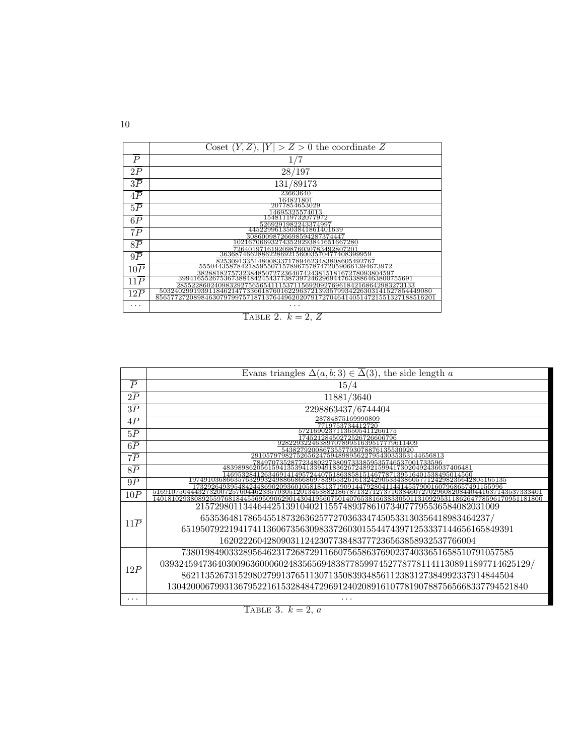| $\boldsymbol{P}$<br>1/7<br>$2\overline{P}$<br>28/197<br>$3\overline{P}$<br>131/89173<br>23663640<br>4P<br>164821801<br>2077854653029<br>$5\overline{P}$                                                                                              |
|------------------------------------------------------------------------------------------------------------------------------------------------------------------------------------------------------------------------------------------------------|
|                                                                                                                                                                                                                                                      |
|                                                                                                                                                                                                                                                      |
|                                                                                                                                                                                                                                                      |
|                                                                                                                                                                                                                                                      |
| 14695325574013                                                                                                                                                                                                                                       |
| 15481119732077972<br>$6\overline{P}$                                                                                                                                                                                                                 |
| 5269291982243374997<br>4452299613503841861401639<br>$7\overline{P}$                                                                                                                                                                                  |
| 30860098726698594287374447<br>102167066932743529293841651667280<br>$8\overline{P}$                                                                                                                                                                   |
| $\frac{726401971619209876030783492807201}{3636874662886228692156003570477408399959}$<br>$9\overline{P}$                                                                                                                                              |
| 825309133514800833717894623483808605492767<br>555044358784218595507157896757874720590661394673972<br>10P                                                                                                                                             |
| $\frac{3828818275732384850727236407424381518167278093804597}{39941655267536738848424543773873972462969447633886463800755691}$<br>$11\overline{P}$                                                                                                    |
| $\frac{285522860240983292756565411153711569209276961842168642983273133}{503240299193911846214773366187601622963721393579934226303141527854449080}$<br>$12\overline{P}$<br>85657727208984630797997571871376449620207917270464140514721551327188516201 |
|                                                                                                                                                                                                                                                      |



|                                                                                    | Evans triangles $\Delta(a, b; 3) \in \overline{\Delta(3)}$ , the side length a                                                                                                                                                                                                                                  |  |  |
|------------------------------------------------------------------------------------|-----------------------------------------------------------------------------------------------------------------------------------------------------------------------------------------------------------------------------------------------------------------------------------------------------------------|--|--|
| $\overline{P}$                                                                     | 15/4                                                                                                                                                                                                                                                                                                            |  |  |
| 2P                                                                                 | 11881/3640                                                                                                                                                                                                                                                                                                      |  |  |
| 3P                                                                                 | 2298863437/6744404                                                                                                                                                                                                                                                                                              |  |  |
| 4 P                                                                                | 28784875169990809<br>7719753734412720                                                                                                                                                                                                                                                                           |  |  |
| $5\overline{P}$                                                                    | 57216902371136505411266175<br>7452128450272526726606796                                                                                                                                                                                                                                                         |  |  |
| 9282293224638970789951639517779611409<br>6P<br>54382792008673557793078876135530920 |                                                                                                                                                                                                                                                                                                                 |  |  |
| 7Р                                                                                 | 5265624759 <del>48989562279543035363144656813</del><br>78497073528772348022738097333859535746537001733596                                                                                                                                                                                                       |  |  |
| 8P                                                                                 | 483989862056159413539413394918362672489215994173020492436037406481                                                                                                                                                                                                                                              |  |  |
| 9P                                                                                 | $\frac{146953284126346914149572440751863858151467787139516401538495014560}{197491036866357632993249886686978395532616132429053343860577124298235642805165135}$                                                                                                                                                  |  |  |
| $10\overline{P}$                                                                   | $\frac{1732926493954842448690209360105818513719091447928041144145579001607968657491155996}{5169107504443273200725760446233570305120134538821867871327127371038460727029608208440441637143537333401}$<br>1401810293808925597681844556950906290143041956075014076538166383305011310929531186264778596170951181800 |  |  |
| $11\overline{P}$                                                                   | 2157298011344644251391040211557489378610734077795536584082031009                                                                                                                                                                                                                                                |  |  |
|                                                                                    | 6535364817865455187326362577270363347450533130356418983464237/                                                                                                                                                                                                                                                  |  |  |
|                                                                                    | 6519507922194174113606735630983372603015544743971253337144656165849391                                                                                                                                                                                                                                          |  |  |
|                                                                                    | 162022260428090311242307738483777236563858932537766004                                                                                                                                                                                                                                                          |  |  |
|                                                                                    | 7380198490332895646231726872911660756586376902374033651658510791057585                                                                                                                                                                                                                                          |  |  |
| $12\overline{P}$                                                                   | 039324594736403009636000602483565694838778599745277877811411308911897714625129/                                                                                                                                                                                                                                 |  |  |
|                                                                                    | 8621135267315298027991376511307135083934856112383127384992337914844504                                                                                                                                                                                                                                          |  |  |
|                                                                                    | 1304200067993136795221615328484729691240208916107781907887565668337794521840                                                                                                                                                                                                                                    |  |  |
| .                                                                                  | .                                                                                                                                                                                                                                                                                                               |  |  |

TABLE 3.  $k = 2, a$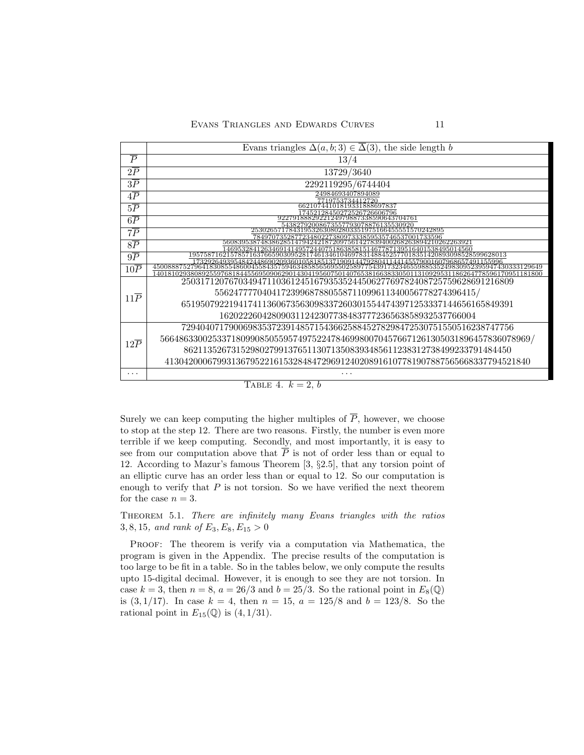|                  | Evans triangles $\Delta(a, b; 3) \in \overline{\Delta}(3)$ , the side length b                                                                                                                                     |  |  |  |
|------------------|--------------------------------------------------------------------------------------------------------------------------------------------------------------------------------------------------------------------|--|--|--|
| $\overline{P}$   | 13/4                                                                                                                                                                                                               |  |  |  |
| 2P               | 13729/3640                                                                                                                                                                                                         |  |  |  |
| 3P               | 2292119295/6744404                                                                                                                                                                                                 |  |  |  |
| 4P               | 24984693407894089<br>7719753734412720                                                                                                                                                                              |  |  |  |
| 5P               | 66210744101819331888697837<br>7452128450272526726606796                                                                                                                                                            |  |  |  |
| 6P               | 18882922124979887338590643704761<br>54382792008673557793078876135530920                                                                                                                                            |  |  |  |
| $7\overline{P}$  | 253026571784319532630802803351975166455551570242895<br>78497073528772348022738097333859535746537001733596                                                                                                          |  |  |  |
| 8P               | 560839538748386285147942421872097561427839400268263894210262263921<br>146953284126346914149572440751863858151467787139516401538495014560                                                                           |  |  |  |
| 9P               | $195758716215785716376659030952817461346104697831488452577018351420893098528599628013$<br>1732926493954842448690209360105818513719091447928041144145579001607968657491155996                                       |  |  |  |
| 10P              | 4500888752796418308554860045584357594634858565695502589775439173234655988535249830952395947430333129649<br>1401810293808925597681844556950906290143041956075014076538166383305011310929531186264778596170951181800 |  |  |  |
| $11\overline{P}$ | 2503171207670349471103612451679353524450627769782408725759628691216809                                                                                                                                             |  |  |  |
|                  | 5562477770404172399687880558711099611340056778274396415/                                                                                                                                                           |  |  |  |
|                  | 6519507922194174113606735630983372603015544743971253337144656165849391                                                                                                                                             |  |  |  |
|                  | 162022260428090311242307738483777236563858932537766004                                                                                                                                                             |  |  |  |
|                  | 7294040717900698353723914857154366258845278298472530751550516238747756                                                                                                                                             |  |  |  |
| $12\overline{P}$ | 566486330025337180990850559574975224784699800704576671261305031896457836078969/                                                                                                                                    |  |  |  |
|                  | 862113526731529802799137651130713508393485611238312738499233791484450                                                                                                                                              |  |  |  |
|                  | 41304200067993136795221615328484729691240208916107781907887565668337794521840                                                                                                                                      |  |  |  |
| .                | .                                                                                                                                                                                                                  |  |  |  |

# TABLE 4.  $k = 2, b$

Surely we can keep computing the higher multiples of  $\overline{P}$ , however, we choose to stop at the step 12. There are two reasons. Firstly, the number is even more terrible if we keep computing. Secondly, and most importantly, it is easy to see from our computation above that  $\overline{P}$  is not of order less than or equal to 12. According to Mazur's famous Theorem [3, §2.5], that any torsion point of an elliptic curve has an order less than or equal to 12. So our computation is enough to verify that  $P$  is not torsion. So we have verified the next theorem for the case  $n = 3$ .

THEOREM 5.1. There are infinitely many Evans triangles with the ratios 3, 8, 15, and rank of  $E_3, E_8, E_{15} > 0$ 

PROOF: The theorem is verify via a computation via Mathematica, the program is given in the Appendix. The precise results of the computation is too large to be fit in a table. So in the tables below, we only compute the results upto 15-digital decimal. However, it is enough to see they are not torsion. In case  $k = 3$ , then  $n = 8$ ,  $a = 26/3$  and  $b = 25/3$ . So the rational point in  $E_8(\mathbb{Q})$ is  $(3, 1/17)$ . In case  $k = 4$ , then  $n = 15$ ,  $a = 125/8$  and  $b = 123/8$ . So the rational point in  $E_{15}(\mathbb{Q})$  is  $(4, 1/31)$ .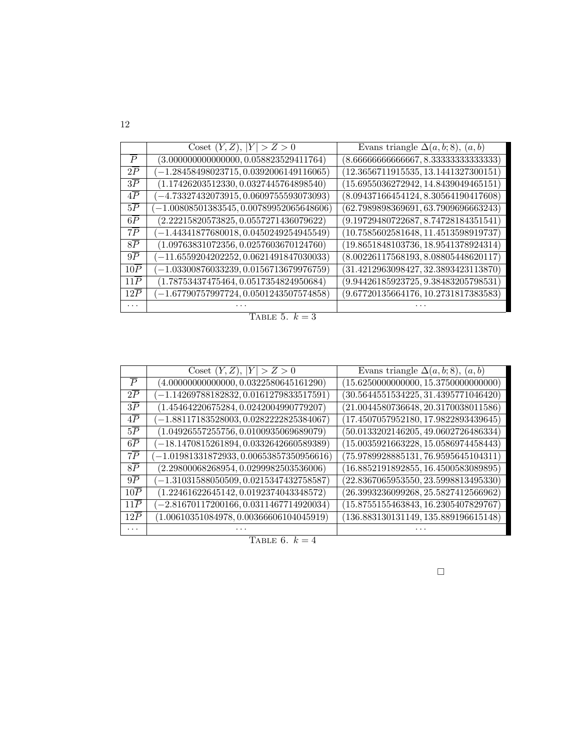|                  | Coset $(Y, Z),  Y  > Z > 0$               | Evans triangle $\Delta(a, b; 8)$ , $(a, b)$ |
|------------------|-------------------------------------------|---------------------------------------------|
| $\overline{P}$   | $(3.000000000000000, 0.058823529411764)$  | (8.6666666666667, 8.3333333333333)          |
| 2P               | $(-1.28458498023715, 0.0392006149116065)$ | (12.3656711915535, 13.1441327300151)        |
| $3\overline{P}$  | $(1.17426203512330, 0.0327445764898540)$  | (15.6955036272942, 14.8439049465151)        |
| $4\overline{P}$  | $(-4.73327432073915, 0.0609755593073093)$ | (8.09437166454124, 8.30564190417608)        |
| $5\overline{P}$  | $-1.00808501383545, 0.00789952065648606$  | (62.7989898369691, 63.7909696663243)        |
| $6\overline{P}$  | $(2.22215820573825, 0.0557271436079622)$  | (9.19729480722687, 8.74728184351541)        |
| $7\overline{P}$  | $-1.44341877680018, 0.0450249254945549$   | (10.7585602581648, 11.4513598919737)        |
| $8\overline{P}$  | $(1.09763831072356, 0.0257603670124760)$  | (19.8651848103736, 18.9541378924314)        |
| $9\overline{P}$  | $(-11.6559204202252, 0.0621491847030033)$ | (8.00226117568193, 8.08805448620117)        |
| $10\overline{P}$ | $-1.03300876033239, 0.0156713679976759$   | (31.4212963098427, 32.3893423113870)        |
| $11\overline{P}$ | $(1.78753437475464, 0.0517354824950684)$  | (9.94426185923725, 9.38483205798531)        |
| 12P              | $-1.67790757997724, 0.0501243507574858$   | (9.67720135664176, 10.2731817383583)        |
| $\cdots$         |                                           |                                             |

TABLE 5.  $k = 3$ 

|                  | Coset $(Y, Z),  Y  > Z > 0$                | Evans triangle $\Delta(a, b; 8)$ , $(a, b)$ |
|------------------|--------------------------------------------|---------------------------------------------|
| $\overline{P}$   | $(4.00000000000000, 0.0322580645161290)$   | (15.6250000000000, 15.3750000000000)        |
| $2\overline{P}$  | $-1.14269788182832, 0.0161279833517591)$   | (30.5644551534225, 31.4395771046420)        |
| $3\overline{P}$  | $(1.45464220675284, 0.0242004990779207)$   | (21.0044580736648, 20.3170038011586)        |
| $4\overline{P}$  | $(-1.88117183528003, 0.0282222825384067)$  | (17.4507057952180, 17.9822893439645)        |
| $5\overline{P}$  | $(1.04926557255756, 0.0100935069689079)$   | (50.0133202146205, 49.0602726486334)        |
| $6\overline{P}$  | $(-18.1470815261894, 0.0332642660589389)$  | (15.0035921663228, 15.0586974458443)        |
| $7\overline{P}$  | $(-1.01981331872933, 0.00653857350956616)$ | (75.9789928885131, 76.9595645104311)        |
| $8\overline{P}$  | $(2.29800068268954, 0.0299982503536006)$   | (16.8852191892855, 16.4500583089895)        |
| $9\overline{P}$  | $(-1.31031588050509, 0.0215347432758587)$  | (22.8367065953550, 23.5998813495330)        |
| $10\overline{P}$ | $(1.22461622645142, 0.0192374043348572)$   | (26.3993236099268, 25.5827412566962)        |
| 11P              | $-2.81670117200166, 0.0311467714920034)$   | (15.8755155463843, 16.2305407829767)        |
| $12\overline{P}$ | $(1.00610351084978, 0.00366606104045919)$  | (136.883130131149, 135.889196615148)        |
| .                |                                            |                                             |

TABLE 6.  $k = 4$ 

 $\Box$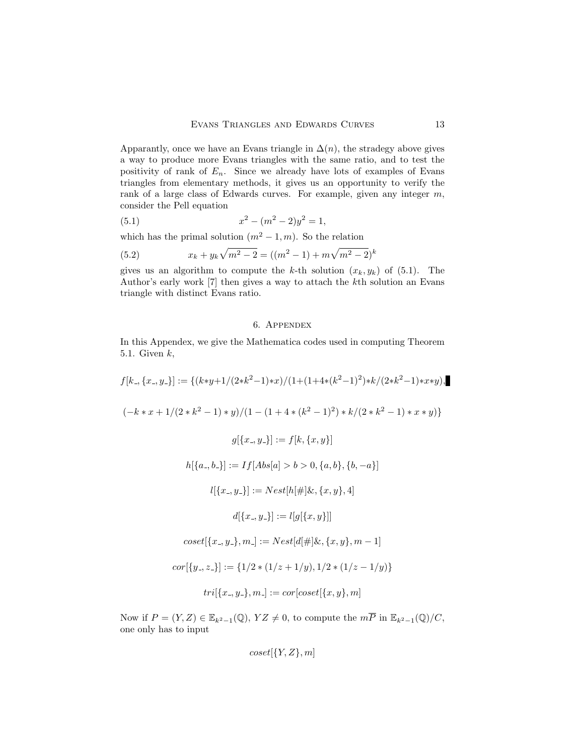Apparantly, once we have an Evans triangle in  $\Delta(n)$ , the stradegy above gives a way to produce more Evans triangles with the same ratio, and to test the positivity of rank of  $E_n$ . Since we already have lots of examples of Evans triangles from elementary methods, it gives us an opportunity to verify the rank of a large class of Edwards curves. For example, given any integer  $m$ , consider the Pell equation

(5.1) 
$$
x^2 - (m^2 - 2)y^2 = 1,
$$

which has the primal solution  $(m^2 - 1, m)$ . So the relation

(5.2) 
$$
x_k + y_k \sqrt{m^2 - 2} = ((m^2 - 1) + m \sqrt{m^2 - 2})^k
$$

gives us an algorithm to compute the k-th solution  $(x_k, y_k)$  of  $(5.1)$ . The Author's early work [7] then gives a way to attach the kth solution an Evans triangle with distinct Evans ratio.

# 6. Appendex

In this Appendex, we give the Mathematica codes used in computing Theorem 5.1. Given  $k$ ,

 $f[k_-, \{x_-, y_-\}] := \{ (k*y+1/(2*k^2-1)*x)/(1+(1+4*(k^2-1)^2)*k/(2*k^2-1)*x*y),$  $(-k*x+1/(2*k^2-1)*y)/(1-(1+4*(k^2-1)^2)*k/(2*k^2-1)*x*y)$  $g[{x_-, y_-}] := f[k, {x, y}]$  $h[{a_-, b_+] := If[Abs[a] > b > 0, {a, b}, {b, -a}]$  $l[{x_-, y_+}] := Nest[h] \# \{x, {x, y\}, 4]$  $d[{x_-, y_-}] := l[q[{x, y}]$  $coset[\{x_-, y_-\}, m_-] := Nest[d] \# [\&, \{x, y\}, m-1]$  $cor[\{y_{-}, z_{-}\}] := \{1/2 * (1/z + 1/y), 1/2 * (1/z - 1/y)\}\$  $tri[\{x_-, y_-\}, m_-] := cor[coset[\{x, y\}, m]$ 

Now if  $P = (Y, Z) \in \mathbb{E}_{k^2-1}(\mathbb{Q}), YZ \neq 0$ , to compute the  $m\overline{P}$  in  $\mathbb{E}_{k^2-1}(\mathbb{Q})/C$ , one only has to input

$$
coset[\{Y,Z\},m]
$$